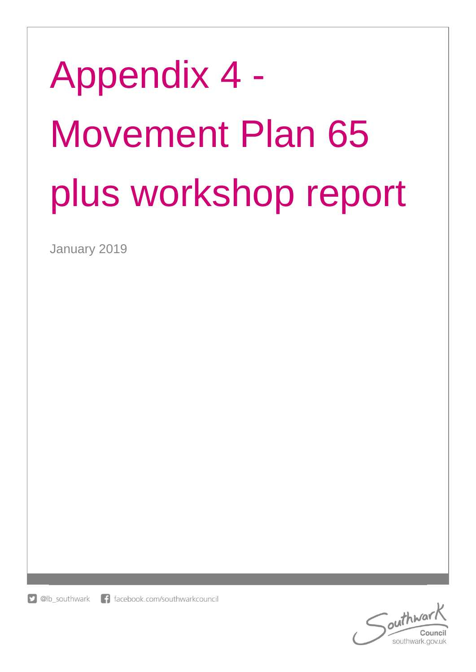# Appendix 4 - Movement Plan 65 plus workshop report

January 2019

 $\Box$  @lb southwark f facebook.com/southwarkcouncil

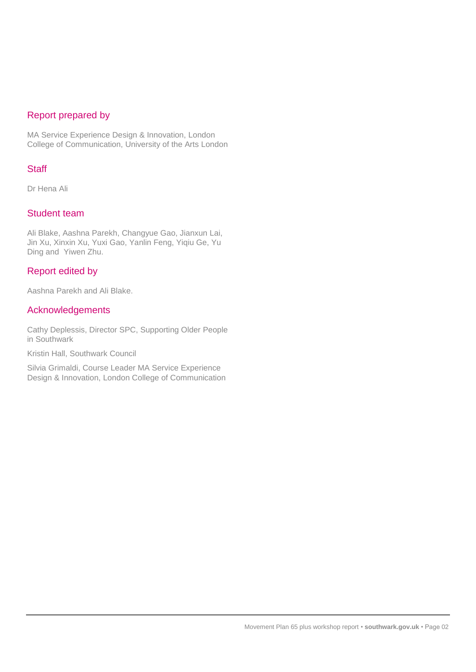### Report prepared by

MA Service Experience Design & Innovation, London College of Communication, University of the Arts London

#### **Staff**

Dr Hena Ali

### Student team

Ali Blake, Aashna Parekh, Changyue Gao, Jianxun Lai, Jin Xu, Xinxin Xu, Yuxi Gao, Yanlin Feng, Yiqiu Ge, Yu Ding and Yiwen Zhu.

### Report edited by

Aashna Parekh and Ali Blake.

#### Acknowledgements

Cathy Deplessis, Director SPC, Supporting Older People in Southwark

Kristin Hall, Southwark Council

Silvia Grimaldi, Course Leader MA Service Experience Design & Innovation, London College of Communication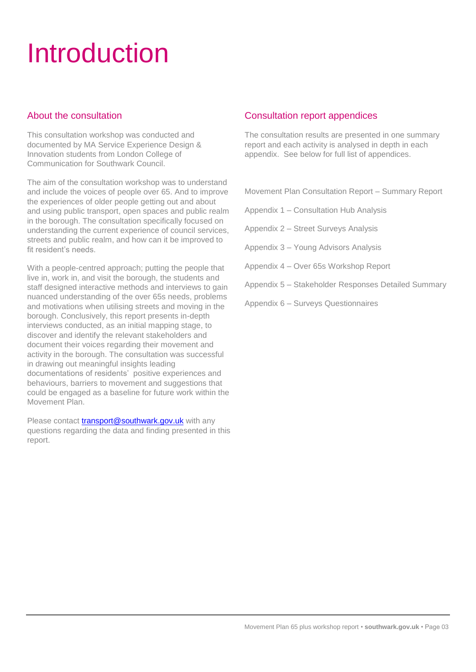### Introduction

#### About the consultation

This consultation workshop was conducted and documented by MA Service Experience Design & Innovation students from London College of Communication for Southwark Council.

The aim of the consultation workshop was to understand and include the voices of people over 65. And to improve the experiences of older people getting out and about and using public transport, open spaces and public realm in the borough. The consultation specifically focused on understanding the current experience of council services, streets and public realm, and how can it be improved to fit resident's needs.

With a people-centred approach; putting the people that live in, work in, and visit the borough, the students and staff designed interactive methods and interviews to gain nuanced understanding of the over 65s needs, problems and motivations when utilising streets and moving in the borough. Conclusively, this report presents in-depth interviews conducted, as an initial mapping stage, to discover and identify the relevant stakeholders and document their voices regarding their movement and activity in the borough. The consultation was successful in drawing out meaningful insights leading documentations of residents' positive experiences and behaviours, barriers to movement and suggestions that could be engaged as a baseline for future work within the Movement Plan.

Please contact *transport@southwark.gov.uk* with any questions regarding the data and finding presented in this report.

### Consultation report appendices

The consultation results are presented in one summary report and each activity is analysed in depth in each appendix. See below for full list of appendices.

- Movement Plan Consultation Report Summary Report
- Appendix 1 Consultation Hub Analysis
- Appendix 2 Street Surveys Analysis
- Appendix 3 Young Advisors Analysis
- Appendix 4 Over 65s Workshop Report
- Appendix 5 Stakeholder Responses Detailed Summary
- Appendix 6 Surveys Questionnaires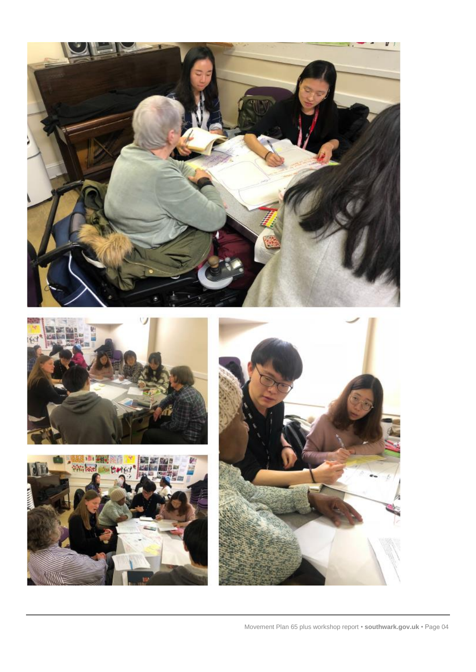

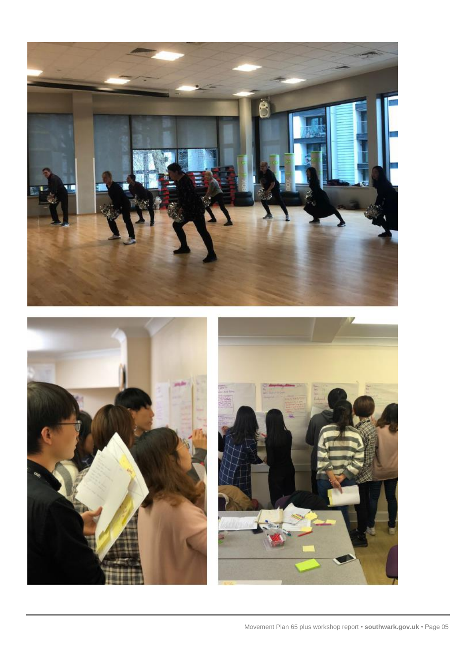

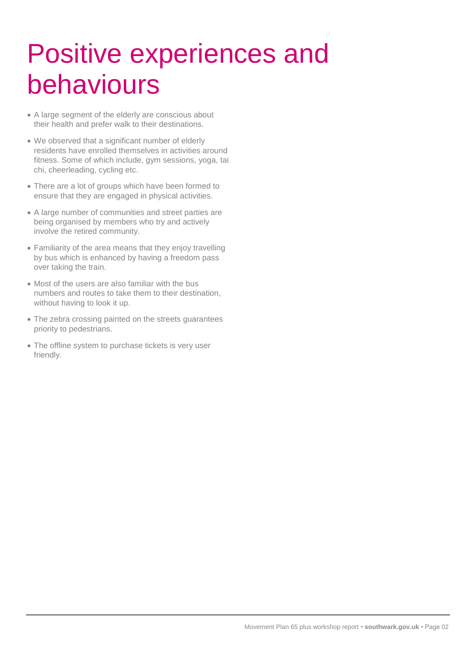### Positive experiences and behaviours

- A large segment of the elderly are conscious about their health and prefer walk to their destinations.
- We observed that a significant number of elderly residents have enrolled themselves in activities around fitness. Some of which include, gym sessions, yoga, tai chi, cheerleading, cycling etc.
- There are a lot of groups which have been formed to ensure that they are engaged in physical activities.
- A large number of communities and street parties are being organised by members who try and actively involve the retired community.
- Familiarity of the area means that they enjoy travelling by bus which is enhanced by having a freedom pass over taking the train.
- Most of the users are also familiar with the bus numbers and routes to take them to their destination, without having to look it up.
- The zebra crossing painted on the streets guarantees priority to pedestrians.
- The offline system to purchase tickets is very user friendly.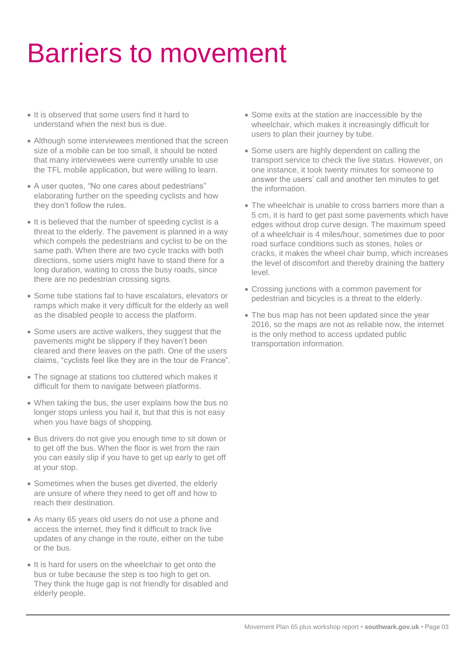### Barriers to movement

- It is observed that some users find it hard to understand when the next bus is due.
- Although some interviewees mentioned that the screen size of a mobile can be too small, it should be noted that many interviewees were currently unable to use the TFL mobile application, but were willing to learn.
- A user quotes, "No one cares about pedestrians" elaborating further on the speeding cyclists and how they don't follow the rules.
- It is believed that the number of speeding cyclist is a threat to the elderly. The pavement is planned in a way which compels the pedestrians and cyclist to be on the same path. When there are two cycle tracks with both directions, some users might have to stand there for a long duration, waiting to cross the busy roads, since there are no pedestrian crossing signs.
- Some tube stations fail to have escalators, elevators or ramps which make it very difficult for the elderly as well as the disabled people to access the platform.
- Some users are active walkers, they suggest that the pavements might be slippery if they haven't been cleared and there leaves on the path. One of the users claims, "cyclists feel like they are in the tour de France".
- The signage at stations too cluttered which makes it difficult for them to navigate between platforms.
- When taking the bus, the user explains how the bus no longer stops unless you hail it, but that this is not easy when you have bags of shopping.
- Bus drivers do not give you enough time to sit down or to get off the bus. When the floor is wet from the rain you can easily slip if you have to get up early to get off at your stop.
- Sometimes when the buses get diverted, the elderly are unsure of where they need to get off and how to reach their destination.
- As many 65 years old users do not use a phone and access the internet, they find it difficult to track live updates of any change in the route, either on the tube or the bus.
- It is hard for users on the wheelchair to get onto the bus or tube because the step is too high to get on. They think the huge gap is not friendly for disabled and elderly people.
- Some exits at the station are inaccessible by the wheelchair, which makes it increasingly difficult for users to plan their journey by tube.
- Some users are highly dependent on calling the transport service to check the live status. However, on one instance, it took twenty minutes for someone to answer the users' call and another ten minutes to get the information.
- The wheelchair is unable to cross barriers more than a 5 cm, it is hard to get past some pavements which have edges without drop curve design. The maximum speed of a wheelchair is 4 miles/hour, sometimes due to poor road surface conditions such as stones, holes or cracks, it makes the wheel chair bump, which increases the level of discomfort and thereby draining the battery level.
- Crossing junctions with a common pavement for pedestrian and bicycles is a threat to the elderly.
- The bus map has not been updated since the year 2016, so the maps are not as reliable now, the internet is the only method to access updated public transportation information.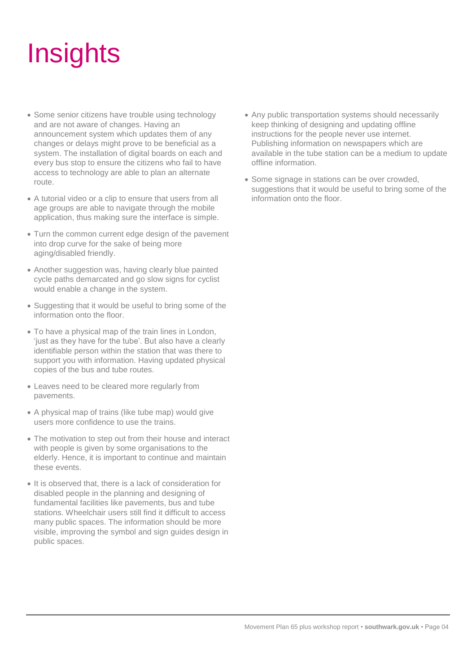## **Insights**

- Some senior citizens have trouble using technology and are not aware of changes. Having an announcement system which updates them of any changes or delays might prove to be beneficial as a system. The installation of digital boards on each and every bus stop to ensure the citizens who fail to have access to technology are able to plan an alternate route.
- A tutorial video or a clip to ensure that users from all age groups are able to navigate through the mobile application, thus making sure the interface is simple.
- Turn the common current edge design of the pavement into drop curve for the sake of being more aging/disabled friendly.
- Another suggestion was, having clearly blue painted cycle paths demarcated and go slow signs for cyclist would enable a change in the system.
- Suggesting that it would be useful to bring some of the information onto the floor.
- To have a physical map of the train lines in London, 'just as they have for the tube'. But also have a clearly identifiable person within the station that was there to support you with information. Having updated physical copies of the bus and tube routes.
- Leaves need to be cleared more regularly from pavements.
- A physical map of trains (like tube map) would give users more confidence to use the trains.
- The motivation to step out from their house and interact with people is given by some organisations to the elderly. Hence, it is important to continue and maintain these events.
- It is observed that, there is a lack of consideration for disabled people in the planning and designing of fundamental facilities like pavements, bus and tube stations. Wheelchair users still find it difficult to access many public spaces. The information should be more visible, improving the symbol and sign guides design in public spaces.
- Any public transportation systems should necessarily keep thinking of designing and updating offline instructions for the people never use internet. Publishing information on newspapers which are available in the tube station can be a medium to update offline information.
- Some signage in stations can be over crowded. suggestions that it would be useful to bring some of the information onto the floor.